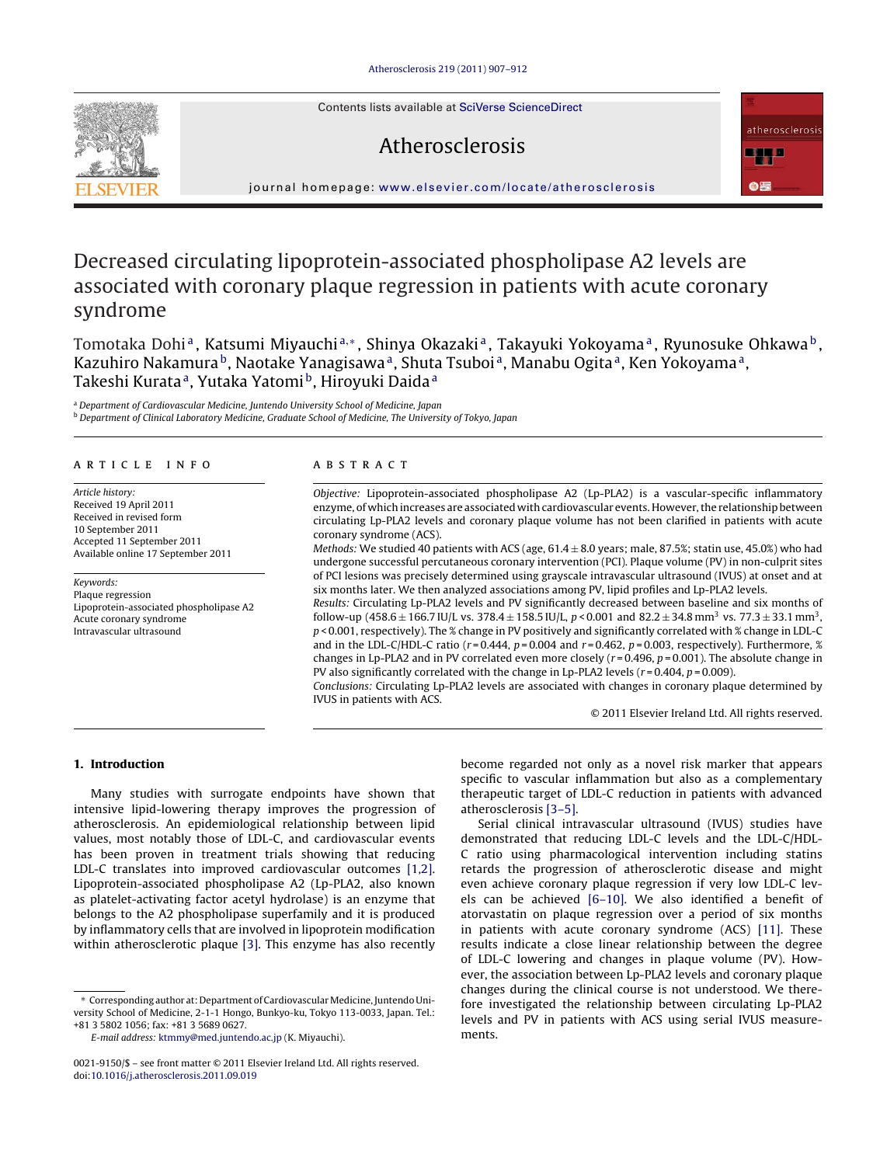Contents lists available at [SciVerse ScienceDirect](http://www.sciencedirect.com/science/journal/00219150)

# Atherosclerosis



journal homepage: [www.elsevier.com/locate/atherosclerosis](http://www.elsevier.com/locate/atherosclerosis)

# Decreased circulating lipoprotein-associated phospholipase A2 levels are associated with coronary plaque regression in patients with acute coronary syndrome

Tomotaka Dohi<sup>a</sup>, Katsumi Miyauchi<sup>a,∗</sup>, Shinya Okazaki<sup>a</sup>, Takayuki Yokoyama<sup>a</sup>, Ryunosuke Ohkawa<sup>b</sup>, Kazuhiro Nakamura<sup>b</sup>, Naotake Yanagisawa<sup>a</sup>, Shuta Tsuboi<sup>a</sup>, Manabu Ogita<sup>a</sup>, Ken Yokoyama<sup>a</sup>, Takeshi Kurata<sup>a</sup>, Yutaka Yatomi<sup>b</sup>, Hiroyuki Daida<sup>a</sup>

<sup>a</sup> Department of Cardiovascular Medicine, Juntendo University School of Medicine, Japan <sup>b</sup> Department of Clinical Laboratory Medicine, Graduate School of Medicine, The University of Tokyo, Japan

#### article info

Article history: Received 19 April 2011 Received in revised form 10 September 2011 Accepted 11 September 2011 Available online 17 September 2011

Keywords: Plaque regression Lipoprotein-associated phospholipase A2 Acute coronary syndrome Intravascular ultrasound

# ABSTRACT

Objective: Lipoprotein-associated phospholipase A2 (Lp-PLA2) is a vascular-specific inflammatory enzyme, of which increases are associated with cardiovascular events. However, the relationship between circulating Lp-PLA2 levels and coronary plaque volume has not been clarified in patients with acute coronary syndrome (ACS).

Methods: We studied 40 patients with ACS (age,  $61.4 \pm 8.0$  years; male, 87.5%; statin use, 45.0%) who had undergone successful percutaneous coronary intervention (PCI). Plaque volume (PV) in non-culprit sites of PCI lesions was precisely determined using grayscale intravascular ultrasound (IVUS) at onset and at six months later. We then analyzed associations among PV, lipid profiles and Lp-PLA2 levels.

Results: Circulating Lp-PLA2 levels and PV significantly decreased between baseline and six months of follow-up (458.6  $\pm$  166.7 IU/L vs. 378.4  $\pm$  158.5 IU/L, p < 0.001 and 82.2  $\pm$  34.8 mm<sup>3</sup> vs. 77.3  $\pm$  33.1 mm<sup>3</sup>,  $p$  < 0.001, respectively). The % change in PV positively and significantly correlated with % change in LDL-C and in the LDL-C/HDL-C ratio ( $r = 0.444$ ,  $p = 0.004$  and  $r = 0.462$ ,  $p = 0.003$ , respectively). Furthermore, % changes in Lp-PLA2 and in PV correlated even more closely ( $r = 0.496$ ,  $p = 0.001$ ). The absolute change in PV also significantly correlated with the change in Lp-PLA2 levels ( $r = 0.404$ ,  $p = 0.009$ ).

Conclusions: Circulating Lp-PLA2 levels are associated with changes in coronary plaque determined by IVUS in patients with ACS.

© 2011 Elsevier Ireland Ltd. All rights reserved.

#### **1. Introduction**

Many studies with surrogate endpoints have shown that intensive lipid-lowering therapy improves the progression of atherosclerosis. An epidemiological relationship between lipid values, most notably those of LDL-C, and cardiovascular events has been proven in treatment trials showing that reducing LDL-C translates into improved cardiovascular outcomes [\[1,2\].](#page-4-0) Lipoprotein-associated phospholipase A2 (Lp-PLA2, also known as platelet-activating factor acetyl hydrolase) is an enzyme that belongs to the A2 phospholipase superfamily and it is produced by inflammatory cells that are involved in lipoprotein modification within atherosclerotic plaque [\[3\].](#page-4-0) This enzyme has also recently

E-mail address: [ktmmy@med.juntendo.ac.jp](mailto:ktmmy@med.juntendo.ac.jp) (K. Miyauchi).

become regarded not only as a novel risk marker that appears specific to vascular inflammation but also as a complementary therapeutic target of LDL-C reduction in patients with advanced atherosclerosis [\[3–5\].](#page-4-0)

Serial clinical intravascular ultrasound (IVUS) studies have demonstrated that reducing LDL-C levels and the LDL-C/HDL-C ratio using pharmacological intervention including statins retards the progression of atherosclerotic disease and might even achieve coronary plaque regression if very low LDL-C levels can be achieved [\[6–10\].](#page-4-0) We also identified a benefit of atorvastatin on plaque regression over a period of six months in patients with acute coronary syndrome (ACS) [\[11\].](#page-4-0) These results indicate a close linear relationship between the degree of LDL-C lowering and changes in plaque volume (PV). However, the association between Lp-PLA2 levels and coronary plaque changes during the clinical course is not understood. We therefore investigated the relationship between circulating Lp-PLA2 levels and PV in patients with ACS using serial IVUS measurements.



<sup>∗</sup> Corresponding author at: Department of CardiovascularMedicine, Juntendo University School of Medicine, 2-1-1 Hongo, Bunkyo-ku, Tokyo 113-0033, Japan. Tel.: +81 3 5802 1056; fax: +81 3 5689 0627.

<sup>0021-9150/\$ –</sup> see front matter © 2011 Elsevier Ireland Ltd. All rights reserved. doi:[10.1016/j.atherosclerosis.2011.09.019](dx.doi.org/10.1016/j.atherosclerosis.2011.09.019)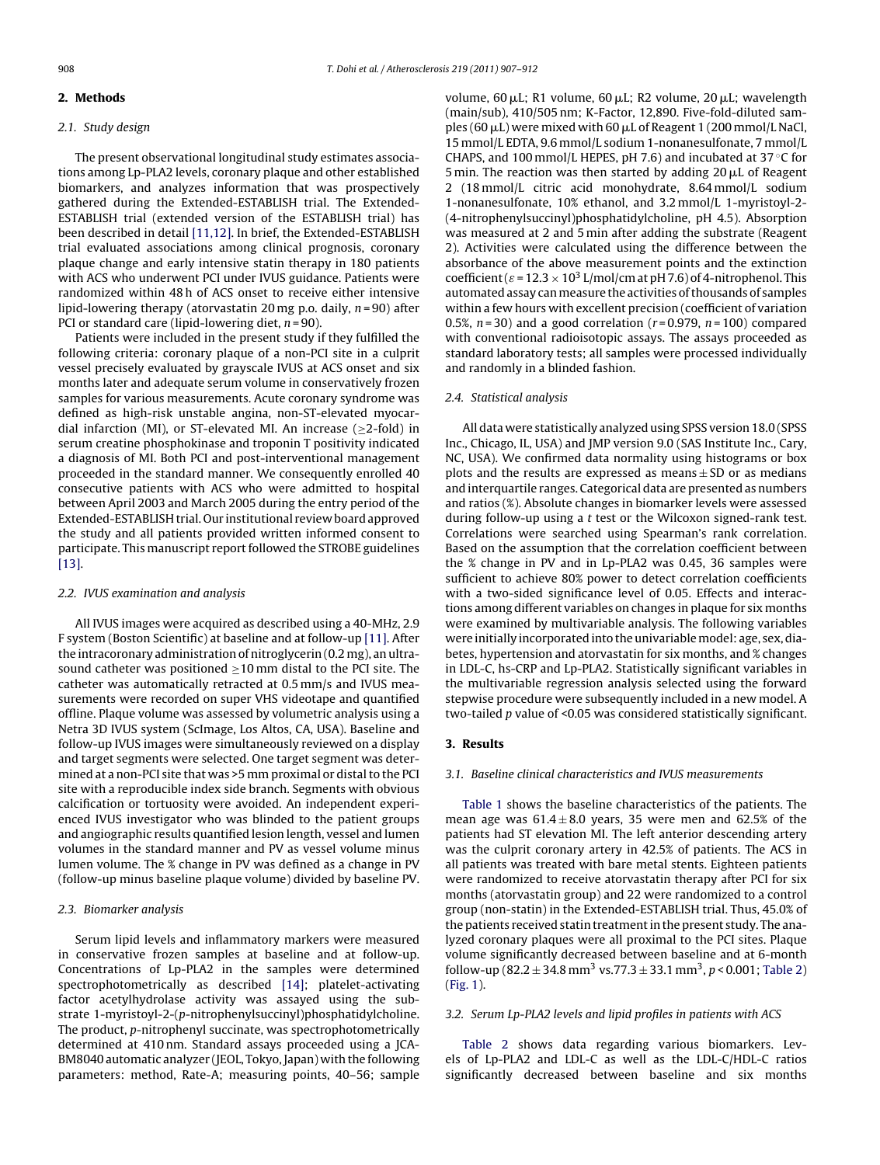# **2. Methods**

## 2.1. Study design

The present observational longitudinal study estimates associations among Lp-PLA2 levels, coronary plaque and other established biomarkers, and analyzes information that was prospectively gathered during the Extended-ESTABLISH trial. The Extended-ESTABLISH trial (extended version of the ESTABLISH trial) has been described in detail [\[11,12\]. I](#page-4-0)n brief, the Extended-ESTABLISH trial evaluated associations among clinical prognosis, coronary plaque change and early intensive statin therapy in 180 patients with ACS who underwent PCI under IVUS guidance. Patients were randomized within 48 h of ACS onset to receive either intensive lipid-lowering therapy (atorvastatin 20 mg p.o. daily,  $n = 90$ ) after PCI or standard care (lipid-lowering diet,  $n = 90$ ).

Patients were included in the present study if they fulfilled the following criteria: coronary plaque of a non-PCI site in a culprit vessel precisely evaluated by grayscale IVUS at ACS onset and six months later and adequate serum volume in conservatively frozen samples for various measurements. Acute coronary syndrome was defined as high-risk unstable angina, non-ST-elevated myocardial infarction (MI), or ST-elevated MI. An increase ( $\geq$ 2-fold) in serum creatine phosphokinase and troponin T positivity indicated a diagnosis of MI. Both PCI and post-interventional management proceeded in the standard manner. We consequently enrolled 40 consecutive patients with ACS who were admitted to hospital between April 2003 and March 2005 during the entry period of the Extended-ESTABLISH trial. Our institutional review board approved the study and all patients provided written informed consent to participate. This manuscript report followed the STROBE guidelines [\[13\].](#page-4-0)

## 2.2. IVUS examination and analysis

All IVUS images were acquired as described using a 40-MHz, 2.9 F system (Boston Scientific) at baseline and at follow-up [\[11\]. A](#page-4-0)fter the intracoronary administration of nitroglycerin (0.2 mg), an ultrasound catheter was positioned  $\geq 10$  mm distal to the PCI site. The catheter was automatically retracted at 0.5 mm/s and IVUS measurements were recorded on super VHS videotape and quantified offline. Plaque volume was assessed by volumetric analysis using a Netra 3D IVUS system (ScImage, Los Altos, CA, USA). Baseline and follow-up IVUS images were simultaneously reviewed on a display and target segments were selected. One target segment was determined at a non-PCI site that was >5 mm proximal or distal to the PCI site with a reproducible index side branch. Segments with obvious calcification or tortuosity were avoided. An independent experienced IVUS investigator who was blinded to the patient groups and angiographic results quantified lesion length, vessel and lumen volumes in the standard manner and PV as vessel volume minus lumen volume. The % change in PV was defined as a change in PV (follow-up minus baseline plaque volume) divided by baseline PV.

## 2.3. Biomarker analysis

Serum lipid levels and inflammatory markers were measured in conservative frozen samples at baseline and at follow-up. Concentrations of Lp-PLA2 in the samples were determined spectrophotometrically as described [\[14\];](#page-4-0) platelet-activating factor acetylhydrolase activity was assayed using the substrate 1-myristoyl-2-(p-nitrophenylsuccinyl)phosphatidylcholine. The product, p-nitrophenyl succinate, was spectrophotometrically determined at 410 nm. Standard assays proceeded using a JCA-BM8040 automatic analyzer (JEOL, Tokyo, Japan) with the following parameters: method, Rate-A; measuring points, 40–56; sample

volume, 60  $\mu$ L; R1 volume, 60  $\mu$ L; R2 volume, 20  $\mu$ L; wavelength (main/sub), 410/505 nm; K-Factor, 12,890. Five-fold-diluted samples (60 µL) were mixed with 60 µL of Reagent 1 (200 mmol/L NaCl, 15 mmol/L EDTA, 9.6 mmol/L sodium 1-nonanesulfonate, 7 mmol/L CHAPS, and 100 mmol/L HEPES, pH 7.6) and incubated at 37 $\degree$ C for 5 min. The reaction was then started by adding 20  $\mu$ L of Reagent 2 (18 mmol/L citric acid monohydrate, 8.64 mmol/L sodium 1-nonanesulfonate, 10% ethanol, and 3.2 mmol/L 1-myristoyl-2- (4-nitrophenylsuccinyl)phosphatidylcholine, pH 4.5). Absorption was measured at 2 and 5 min after adding the substrate (Reagent 2). Activities were calculated using the difference between the absorbance of the above measurement points and the extinction coefficient ( $\varepsilon$  = 12.3  $\times$  10<sup>3</sup> L/mol/cm at pH 7.6) of 4-nitrophenol. This automated assay canmeasure the activities of thousands of samples within a few hours with excellent precision (coefficient of variation 0.5%,  $n = 30$ ) and a good correlation ( $r = 0.979$ ,  $n = 100$ ) compared with conventional radioisotopic assays. The assays proceeded as standard laboratory tests; all samples were processed individually and randomly in a blinded fashion.

#### 2.4. Statistical analysis

All data were statistically analyzed using SPSS version 18.0 (SPSS Inc., Chicago, IL, USA) and JMP version 9.0 (SAS Institute Inc., Cary, NC, USA). We confirmed data normality using histograms or box plots and the results are expressed as means  $\pm$  SD or as medians and interquartile ranges. Categorical data are presented as numbers and ratios (%). Absolute changes in biomarker levels were assessed during follow-up using a t test or the Wilcoxon signed-rank test. Correlations were searched using Spearman's rank correlation. Based on the assumption that the correlation coefficient between the % change in PV and in Lp-PLA2 was 0.45, 36 samples were sufficient to achieve 80% power to detect correlation coefficients with a two-sided significance level of 0.05. Effects and interactions among different variables on changes in plaque for six months were examined by multivariable analysis. The following variables were initially incorporated into the univariablemodel: age, sex, diabetes, hypertension and atorvastatin for six months, and % changes in LDL-C, hs-CRP and Lp-PLA2. Statistically significant variables in the multivariable regression analysis selected using the forward stepwise procedure were subsequently included in a new model. A two-tailed p value of <0.05 was considered statistically significant.

#### **3. Results**

## 3.1. Baseline clinical characteristics and IVUS measurements

[Table 1](#page-2-0) shows the baseline characteristics of the patients. The mean age was  $61.4 \pm 8.0$  years, 35 were men and 62.5% of the patients had ST elevation MI. The left anterior descending artery was the culprit coronary artery in 42.5% of patients. The ACS in all patients was treated with bare metal stents. Eighteen patients were randomized to receive atorvastatin therapy after PCI for six months (atorvastatin group) and 22 were randomized to a control group (non-statin) in the Extended-ESTABLISH trial. Thus, 45.0% of the patients received statin treatment in the present study. The analyzed coronary plaques were all proximal to the PCI sites. Plaque volume significantly decreased between baseline and at 6-month follow-up (82.2  $\pm$  34.8 mm<sup>3</sup> vs.77.3  $\pm$  33.1 mm<sup>3</sup>, p < 0.001; [Table 2\)](#page-2-0) [\(Fig. 1\).](#page-2-0)

#### 3.2. Serum Lp-PLA2 levels and lipid profiles in patients with ACS

[Table 2](#page-2-0) shows data regarding various biomarkers. Levels of Lp-PLA2 and LDL-C as well as the LDL-C/HDL-C ratios significantly decreased between baseline and six months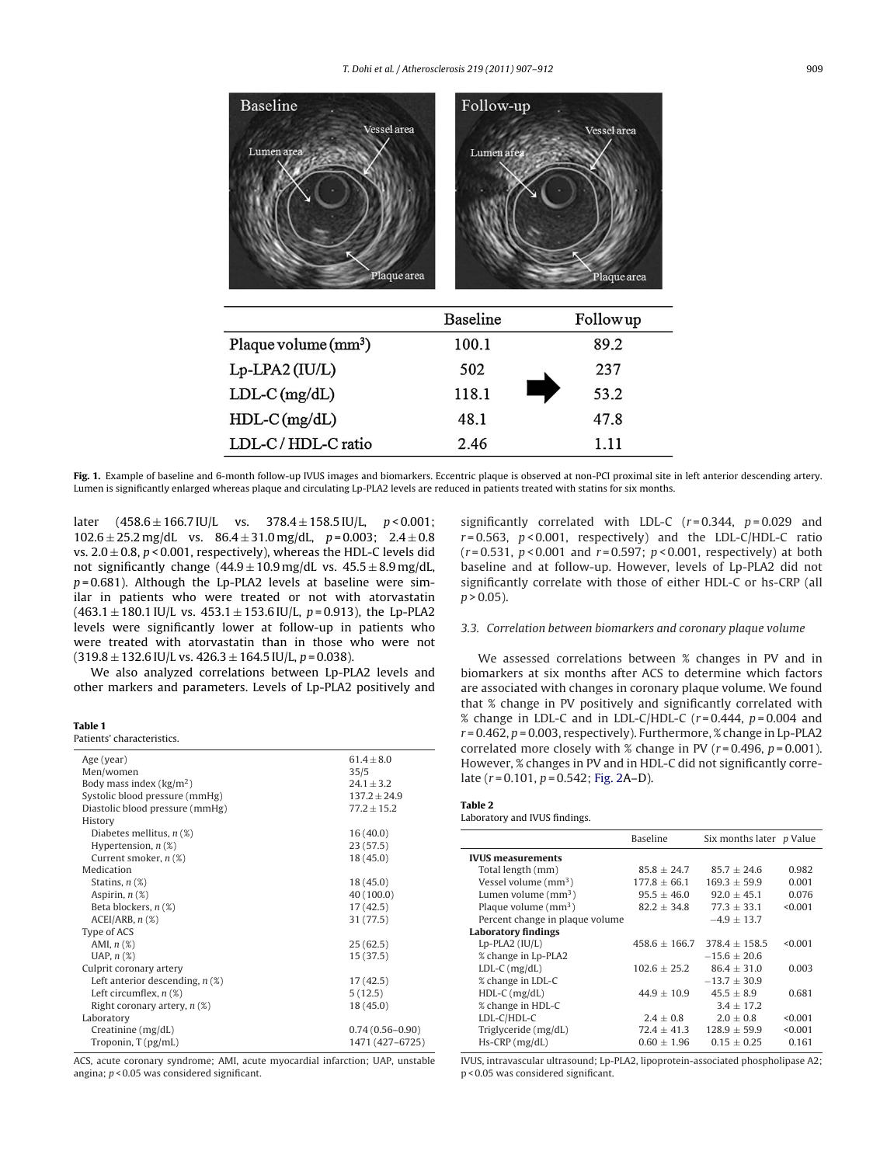<span id="page-2-0"></span>

**Fig. 1.** Example of baseline and 6-month follow-up IVUS images and biomarkers. Eccentric plaque is observed at non-PCI proximal site in left anterior descending artery. Lumen is significantly enlarged whereas plaque and circulating Lp-PLA2 levels are reduced in patients treated with statins for six months.

later  $(458.6 \pm 166.7 \text{ IU/L} \text{ vs. } 378.4 \pm 158.5 \text{ IU/L}, p < 0.001$ ;  $102.6 \pm 25.2$  mg/dL vs.  $86.4 \pm 31.0$  mg/dL,  $p = 0.003$ ;  $2.4 \pm 0.8$ vs.  $2.0 \pm 0.8$ ,  $p < 0.001$ , respectively), whereas the HDL-C levels did not significantly change  $(44.9 \pm 10.9 \,\text{mg/dL}$  vs.  $45.5 \pm 8.9 \,\text{mg/dL}$ ,  $p = 0.681$ ). Although the Lp-PLA2 levels at baseline were similar in patients who were treated or not with atorvastatin  $(463.1 \pm 180.1 \text{ IU/L vs. } 453.1 \pm 153.6 \text{ IU/L}, p = 0.913)$ , the Lp-PLA2 levels were significantly lower at follow-up in patients who were treated with atorvastatin than in those who were not  $(319.8 \pm 132.6 \text{ IU/L vs. } 426.3 \pm 164.5 \text{ IU/L}, p = 0.038).$ 

We also analyzed correlations between Lp-PLA2 levels and other markers and parameters. Levels of Lp-PLA2 positively and

#### **Table 1**

Patients' characteristics.

| Age (year)                        | $61.4 + 8.0$        |  |  |
|-----------------------------------|---------------------|--|--|
| Men/women                         | 35/5                |  |  |
| Body mass index $(kg/m2)$         | $24.1 + 3.2$        |  |  |
| Systolic blood pressure (mmHg)    | $137.2 + 24.9$      |  |  |
| Diastolic blood pressure (mmHg)   | $77.2 \pm 15.2$     |  |  |
| History                           |                     |  |  |
| Diabetes mellitus, $n$ (%)        | 16(40.0)            |  |  |
| Hypertension, $n$ (%)             | 23(57.5)            |  |  |
| Current smoker, $n$ (%)           | 18(45.0)            |  |  |
| Medication                        |                     |  |  |
| Statins, $n$ $(\%)$               | 18 (45.0)           |  |  |
| Aspirin, $n$ $(\%)$               | 40(100.0)           |  |  |
| Beta blockers, $n$ $(\%)$         | 17(42.5)            |  |  |
| $ACEI/ARB$ , $n$ $(\%)$           | 31 (77.5)           |  |  |
| Type of ACS                       |                     |  |  |
| AMI, $n$ $(\%)$                   | 25(62.5)            |  |  |
| UAP, $n$ $(\%)$                   | 15(37.5)            |  |  |
| Culprit coronary artery           |                     |  |  |
| Left anterior descending, $n$ (%) | 17(42.5)            |  |  |
| Left circumflex, $n$ (%)          | 5(12.5)             |  |  |
| Right coronary artery, $n(\%)$    | 18(45.0)            |  |  |
| Laboratory                        |                     |  |  |
| Creatinine $(mg/dL)$              | $0.74(0.56 - 0.90)$ |  |  |
| Troponin, $T$ ( $pg/mL$ )         | 1471 (427-6725)     |  |  |

ACS, acute coronary syndrome; AMI, acute myocardial infarction; UAP, unstable angina; p < 0.05 was considered significant.

significantly correlated with LDL-C  $(r=0.344, p=0.029$  and  $r = 0.563$ ,  $p < 0.001$ , respectively) and the LDL-C/HDL-C ratio  $(r = 0.531, p < 0.001$  and  $r = 0.597; p < 0.001$ , respectively) at both baseline and at follow-up. However, levels of Lp-PLA2 did not significantly correlate with those of either HDL-C or hs-CRP (all  $p > 0.05$ ).

# 3.3. Correlation between biomarkers and coronary plaque volume

We assessed correlations between % changes in PV and in biomarkers at six months after ACS to determine which factors are associated with changes in coronary plaque volume. We found that % change in PV positively and significantly correlated with % change in LDL-C and in LDL-C/HDL-C  $(r=0.444, p=0.004$  and  $r = 0.462$ ,  $p = 0.003$ , respectively). Furthermore, % change in Lp-PLA2 correlated more closely with % change in PV ( $r = 0.496$ ,  $p = 0.001$ ). However, % changes in PV and in HDL-C did not significantly correlate  $(r = 0.101, p = 0.542; Fig. 2A-D)$  $(r = 0.101, p = 0.542; Fig. 2A-D)$  $(r = 0.101, p = 0.542; Fig. 2A-D)$ .

#### **Table 2**

Laboratory and IVUS findings.

|                                 | <b>Baseline</b> | Six months later p Value |         |
|---------------------------------|-----------------|--------------------------|---------|
| <b>IVUS</b> measurements        |                 |                          |         |
| Total length (mm)               | $85.8 + 24.7$   | $85.7 + 24.6$            | 0.982   |
| Vessel volume $(mm3)$           | $177.8 + 66.1$  | $169.3 + 59.9$           | 0.001   |
| Lumen volume $\text{(mm}^3)$    | $95.5 \pm 46.0$ | $92.0 + 45.1$            | 0.076   |
| Plaque volume $(mm3)$           | $82.2 + 34.8$   | $77.3 + 33.1$            | < 0.001 |
| Percent change in plaque volume |                 | $-4.9 + 13.7$            |         |
| <b>Laboratory findings</b>      |                 |                          |         |
| $Lp$ -PLA2 (IU/L)               | $458.6 + 166.7$ | $378.4 + 158.5$          | < 0.001 |
| % change in Lp-PLA2             |                 | $-15.6 + 20.6$           |         |
| $LDL-C$ ( $mg/dL$ )             | $102.6 + 25.2$  | $86.4 + 31.0$            | 0.003   |
| % change in LDL-C               |                 | $-13.7 + 30.9$           |         |
| $HDL-C$ (mg/dL)                 | $44.9 + 10.9$   | $45.5 \pm 8.9$           | 0.681   |
| % change in HDL-C               |                 | $3.4 + 17.2$             |         |
| LDL-C/HDL-C                     | $2.4 + 0.8$     | $2.0 + 0.8$              | < 0.001 |
| Triglyceride (mg/dL)            | $72.4 \pm 41.3$ | $128.9 \pm 59.9$         | < 0.001 |
| $Hs-CRP$ (mg/dL)                | $0.60 \pm 1.96$ | $0.15 + 0.25$            | 0.161   |

IVUS, intravascular ultrasound; Lp-PLA2, lipoprotein-associated phospholipase A2; p < 0.05 was considered significant.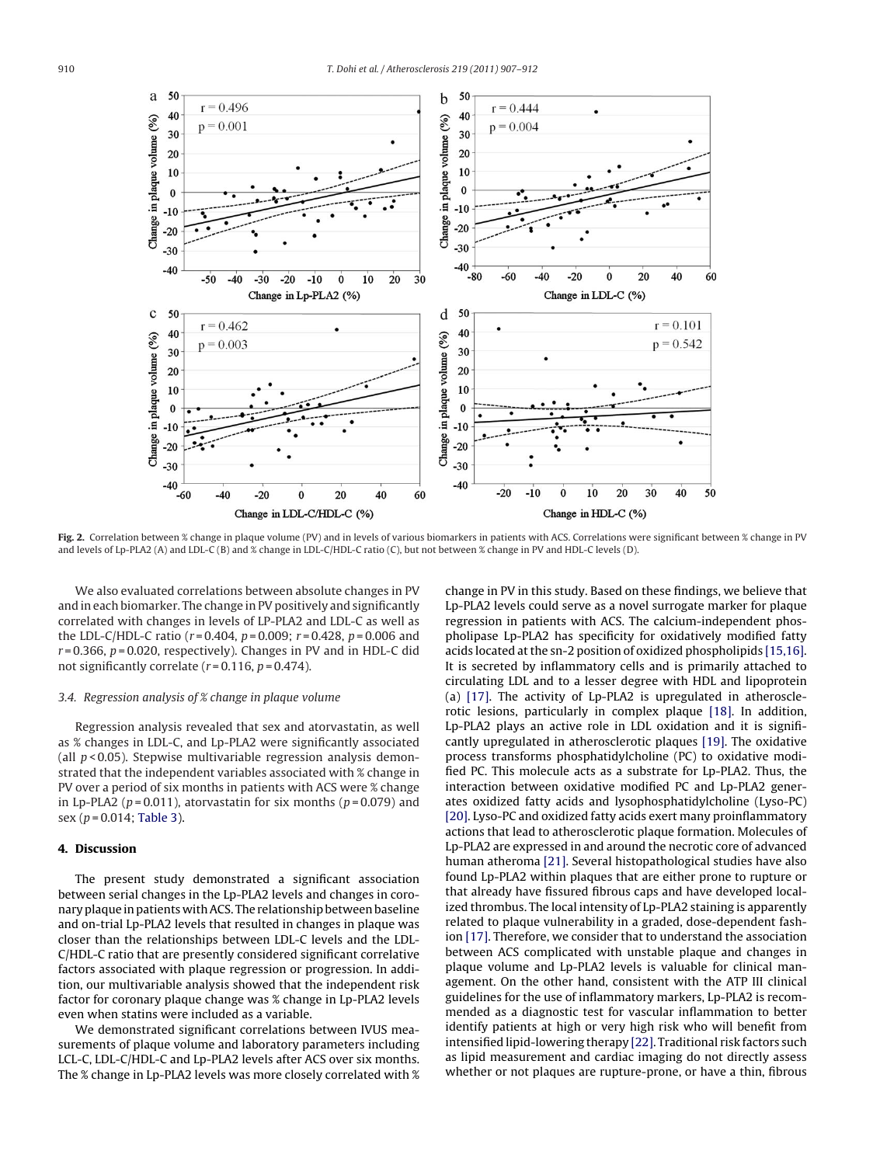<span id="page-3-0"></span>

**Fig. 2.** Correlation between % change in plaque volume (PV) and in levels of various biomarkers in patients with ACS. Correlations were significant between % change in PV and levels of Lp-PLA2 (A) and LDL-C (B) and % change in LDL-C/HDL-C ratio (C), but not between % change in PV and HDL-C levels (D).

We also evaluated correlations between absolute changes in PV and in each biomarker. The change in PV positively and significantly correlated with changes in levels of LP-PLA2 and LDL-C as well as the LDL-C/HDL-C ratio ( $r = 0.404$ ,  $p = 0.009$ ;  $r = 0.428$ ,  $p = 0.006$  and  $r = 0.366$ ,  $p = 0.020$ , respectively). Changes in PV and in HDL-C did not significantly correlate  $(r=0.116, p=0.474)$ .

# 3.4. Regression analysis of % change in plaque volume

Regression analysis revealed that sex and atorvastatin, as well as % changes in LDL-C, and Lp-PLA2 were significantly associated (all  $p$  < 0.05). Stepwise multivariable regression analysis demonstrated that the independent variables associated with % change in PV over a period of six months in patients with ACS were % change in Lp-PLA2 ( $p = 0.011$ ), atorvastatin for six months ( $p = 0.079$ ) and sex ( $p = 0.014$ ; [Table 3\).](#page-4-0)

# **4. Discussion**

The present study demonstrated a significant association between serial changes in the Lp-PLA2 levels and changes in coronary plaque in patients with ACS. The relationship between baseline and on-trial Lp-PLA2 levels that resulted in changes in plaque was closer than the relationships between LDL-C levels and the LDL-C/HDL-C ratio that are presently considered significant correlative factors associated with plaque regression or progression. In addition, our multivariable analysis showed that the independent risk factor for coronary plaque change was % change in Lp-PLA2 levels even when statins were included as a variable.

We demonstrated significant correlations between IVUS measurements of plaque volume and laboratory parameters including LCL-C, LDL-C/HDL-C and Lp-PLA2 levels after ACS over six months. The % change in Lp-PLA2 levels was more closely correlated with % change in PV in this study. Based on these findings, we believe that Lp-PLA2 levels could serve as a novel surrogate marker for plaque regression in patients with ACS. The calcium-independent phospholipase Lp-PLA2 has specificity for oxidatively modified fatty acids located at the sn-2 position of oxidized phospholipids [\[15,16\].](#page-4-0) It is secreted by inflammatory cells and is primarily attached to circulating LDL and to a lesser degree with HDL and lipoprotein (a) [\[17\].](#page-5-0) The activity of Lp-PLA2 is upregulated in atherosclerotic lesions, particularly in complex plaque [\[18\].](#page-5-0) In addition, Lp-PLA2 plays an active role in LDL oxidation and it is significantly upregulated in atherosclerotic plaques [\[19\]. T](#page-5-0)he oxidative process transforms phosphatidylcholine (PC) to oxidative modified PC. This molecule acts as a substrate for Lp-PLA2. Thus, the interaction between oxidative modified PC and Lp-PLA2 generates oxidized fatty acids and lysophosphatidylcholine (Lyso-PC) [\[20\]. L](#page-5-0)yso-PC and oxidized fatty acids exert many proinflammatory actions that lead to atherosclerotic plaque formation. Molecules of Lp-PLA2 are expressed in and around the necrotic core of advanced human atheroma [\[21\]. S](#page-5-0)everal histopathological studies have also found Lp-PLA2 within plaques that are either prone to rupture or that already have fissured fibrous caps and have developed localized thrombus. The local intensity of Lp-PLA2 staining is apparently related to plaque vulnerability in a graded, dose-dependent fashion [\[17\]. T](#page-5-0)herefore, we consider that to understand the association between ACS complicated with unstable plaque and changes in plaque volume and Lp-PLA2 levels is valuable for clinical management. On the other hand, consistent with the ATP III clinical guidelines for the use of inflammatory markers, Lp-PLA2 is recommended as a diagnostic test for vascular inflammation to better identify patients at high or very high risk who will benefit from intensified lipid-lowering therapy [\[22\]. T](#page-5-0)raditional risk factors such as lipid measurement and cardiac imaging do not directly assess whether or not plaques are rupture-prone, or have a thin, fibrous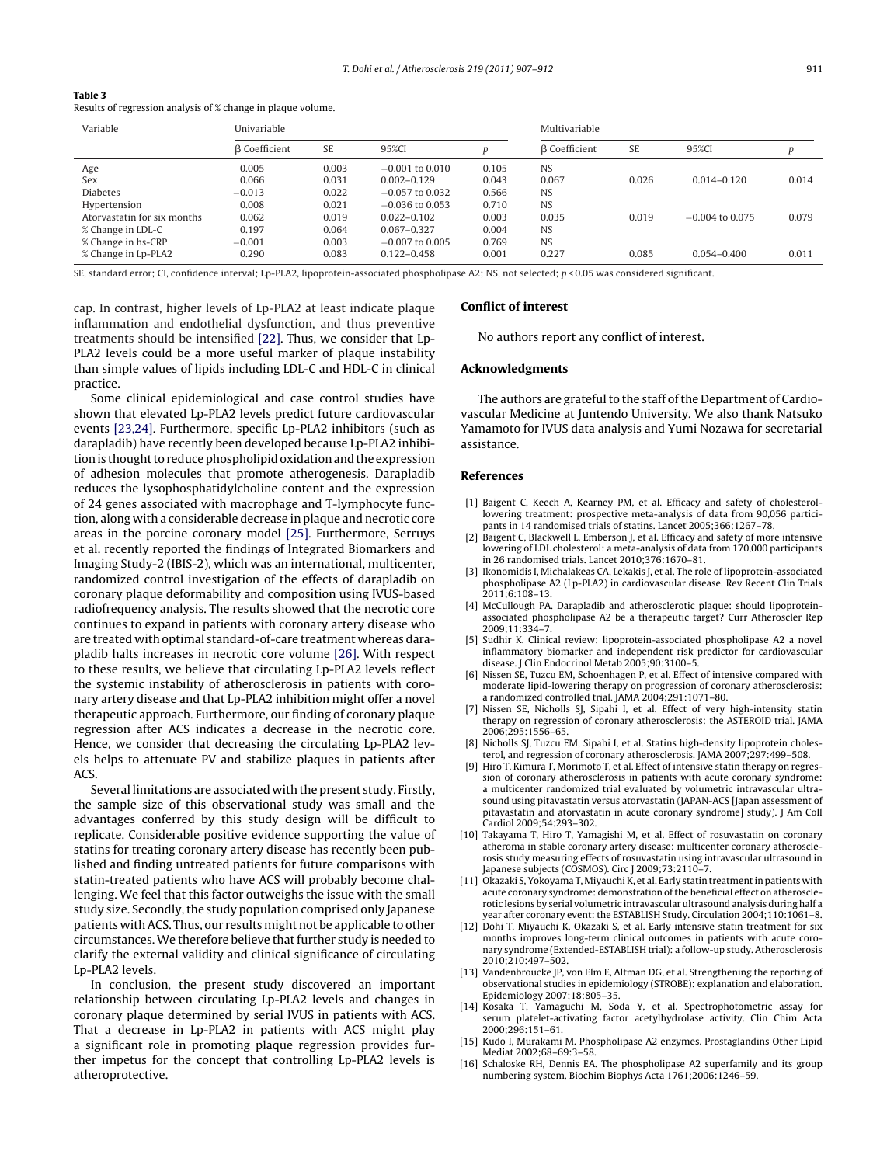<span id="page-4-0"></span>

| Results of regression analysis of % change in plaque volume. |  |  |  |
|--------------------------------------------------------------|--|--|--|
|--------------------------------------------------------------|--|--|--|

| Variable                    | Univariable          |           |                   | Multivariable |                      |           |                   |       |
|-----------------------------|----------------------|-----------|-------------------|---------------|----------------------|-----------|-------------------|-------|
|                             | <b>B</b> Coefficient | <b>SE</b> | 95%CI             | n             | <b>B</b> Coefficient | <b>SE</b> | 95%CI             | p     |
| Age                         | 0.005                | 0.003     | $-0.001$ to 0.010 | 0.105         | <b>NS</b>            |           |                   |       |
| Sex                         | 0.066                | 0.031     | $0.002 - 0.129$   | 0.043         | 0.067                | 0.026     | $0.014 - 0.120$   | 0.014 |
| <b>Diabetes</b>             | $-0.013$             | 0.022     | $-0.057$ to 0.032 | 0.566         | <b>NS</b>            |           |                   |       |
| Hypertension                | 0.008                | 0.021     | $-0.036$ to 0.053 | 0.710         | <b>NS</b>            |           |                   |       |
| Atorvastatin for six months | 0.062                | 0.019     | $0.022 - 0.102$   | 0.003         | 0.035                | 0.019     | $-0.004$ to 0.075 | 0.079 |
| % Change in LDL-C           | 0.197                | 0.064     | $0.067 - 0.327$   | 0.004         | <b>NS</b>            |           |                   |       |
| % Change in hs-CRP          | $-0.001$             | 0.003     | $-0.007$ to 0.005 | 0.769         | <b>NS</b>            |           |                   |       |
| % Change in Lp-PLA2         | 0.290                | 0.083     | $0.122 - 0.458$   | 0.001         | 0.227                | 0.085     | $0.054 - 0.400$   | 0.011 |

SE, standard error; CI, confidence interval; Lp-PLA2, lipoprotein-associated phospholipase A2; NS, not selected; p < 0.05 was considered significant.

cap. In contrast, higher levels of Lp-PLA2 at least indicate plaque inflammation and endothelial dysfunction, and thus preventive treatments should be intensified [\[22\]. T](#page-5-0)hus, we consider that Lp-PLA2 levels could be a more useful marker of plaque instability than simple values of lipids including LDL-C and HDL-C in clinical practice.

Some clinical epidemiological and case control studies have shown that elevated Lp-PLA2 levels predict future cardiovascular events [\[23,24\]. F](#page-5-0)urthermore, specific Lp-PLA2 inhibitors (such as darapladib) have recently been developed because Lp-PLA2 inhibition is thought to reduce phospholipid oxidation and the expression of adhesion molecules that promote atherogenesis. Darapladib reduces the lysophosphatidylcholine content and the expression of 24 genes associated with macrophage and T-lymphocyte function, along with a considerable decrease in plaque and necrotic core areas in the porcine coronary model [\[25\].](#page-5-0) Furthermore, Serruys et al. recently reported the findings of Integrated Biomarkers and Imaging Study-2 (IBIS-2), which was an international, multicenter, randomized control investigation of the effects of darapladib on coronary plaque deformability and composition using IVUS-based radiofrequency analysis. The results showed that the necrotic core continues to expand in patients with coronary artery disease who are treated with optimal standard-of-care treatment whereas darapladib halts increases in necrotic core volume [\[26\]. W](#page-5-0)ith respect to these results, we believe that circulating Lp-PLA2 levels reflect the systemic instability of atherosclerosis in patients with coronary artery disease and that Lp-PLA2 inhibition might offer a novel therapeutic approach. Furthermore, our finding of coronary plaque regression after ACS indicates a decrease in the necrotic core. Hence, we consider that decreasing the circulating Lp-PLA2 levels helps to attenuate PV and stabilize plaques in patients after ACS.

Several limitations are associated with the present study. Firstly, the sample size of this observational study was small and the advantages conferred by this study design will be difficult to replicate. Considerable positive evidence supporting the value of statins for treating coronary artery disease has recently been published and finding untreated patients for future comparisons with statin-treated patients who have ACS will probably become challenging. We feel that this factor outweighs the issue with the small study size. Secondly, the study population comprised only Japanese patients with ACS. Thus, our results might not be applicable to other circumstances. We therefore believe that further study is needed to clarify the external validity and clinical significance of circulating Lp-PLA2 levels.

In conclusion, the present study discovered an important relationship between circulating Lp-PLA2 levels and changes in coronary plaque determined by serial IVUS in patients with ACS. That a decrease in Lp-PLA2 in patients with ACS might play a significant role in promoting plaque regression provides further impetus for the concept that controlling Lp-PLA2 levels is atheroprotective.

#### **Conflict of interest**

No authors report any conflict of interest.

## **Acknowledgments**

The authors are grateful to the staff of the Department of Cardiovascular Medicine at Juntendo University. We also thank Natsuko Yamamoto for IVUS data analysis and Yumi Nozawa for secretarial assistance.

#### **References**

- [1] Baigent C, Keech A, Kearney PM, et al. Efficacy and safety of cholesterollowering treatment: prospective meta-analysis of data from 90,056 participants in 14 randomised trials of statins. Lancet 2005;366:1267–78.
- [2] Baigent C, Blackwell L, Emberson J, et al. Efficacy and safety of more intensive lowering of LDL cholesterol: a meta-analysis of data from 170,000 participants in 26 randomised trials. Lancet 2010;376:1670–81.
- [3] Ikonomidis I, Michalakeas CA, Lekakis J, et al. The role of lipoprotein-associated phospholipase A2 (Lp-PLA2) in cardiovascular disease. Rev Recent Clin Trials 2011;6:108–13.
- [4] McCullough PA. Darapladib and atherosclerotic plaque: should lipoproteinassociated phospholipase A2 be a therapeutic target? Curr Atheroscler Rep 2009;11:334–7.
- [5] Sudhir K. Clinical review: lipoprotein-associated phospholipase A2 a novel inflammatory biomarker and independent risk predictor for cardiovascular disease. J Clin Endocrinol Metab 2005;90:3100–5.
- [6] Nissen SE, Tuzcu EM, Schoenhagen P, et al. Effect of intensive compared with moderate lipid-lowering therapy on progression of coronary atherosclerosis: a randomized controlled trial. JAMA 2004;291:1071–80.
- [7] Nissen SE, Nicholls SJ, Sipahi I, et al. Effect of very high-intensity statin therapy on regression of coronary atherosclerosis: the ASTEROID trial. JAMA 2006;295:1556–65.
- [8] Nicholls SJ, Tuzcu EM, Sipahi I, et al. Statins high-density lipoprotein cholesterol, and regression of coronary atherosclerosis. JAMA 2007;297:499–508.
- [9] Hiro T, Kimura T, Morimoto T, et al. Effect of intensive statin therapy on regression of coronary atherosclerosis in patients with acute coronary syndrome: a multicenter randomized trial evaluated by volumetric intravascular ultrasound using pitavastatin versus atorvastatin (JAPAN-ACS [Japan assessment of pitavastatin and atorvastatin in acute coronary syndrome] study). J Am Coll Cardiol 2009;54:293–302.
- [10] Takayama T, Hiro T, Yamagishi M, et al. Effect of rosuvastatin on coronarv atheroma in stable coronary artery disease: multicenter coronary atherosclerosis study measuring effects of rosuvastatin using intravascular ultrasound in Japanese subjects (COSMOS). Circ J 2009;73:2110–7.
- [11] Okazaki S, Yokoyama T, Miyauchi K, et al. Early statin treatment in patients with acute coronary syndrome: demonstration of the beneficial effect on atherosclerotic lesions by serial volumetric intravascular ultrasound analysis during half a year after coronary event: the ESTABLISH Study. Circulation 2004;110:1061–8.
- [12] Dohi T, Miyauchi K, Okazaki S, et al. Early intensive statin treatment for six months improves long-term clinical outcomes in patients with acute coronary syndrome (Extended-ESTABLISH trial): a follow-up study. Atherosclerosis 2010;210:497–502.
- [13] Vandenbroucke JP, von Elm E, Altman DG, et al. Strengthening the reporting of observational studies in epidemiology (STROBE): explanation and elaboration. Epidemiology 2007;18:805–35.
- [14] Kosaka T, Yamaguchi M, Soda Y, et al. Spectrophotometric assay for serum platelet-activating factor acetylhydrolase activity. Clin Chim Acta 2000;296:151–61.
- [15] Kudo I, Murakami M. Phospholipase A2 enzymes. Prostaglandins Other Lipid Mediat 2002;68–69:3–58.
- [16] Schaloske RH, Dennis EA. The phospholipase A2 superfamily and its group numbering system. Biochim Biophys Acta 1761;2006:1246–59.